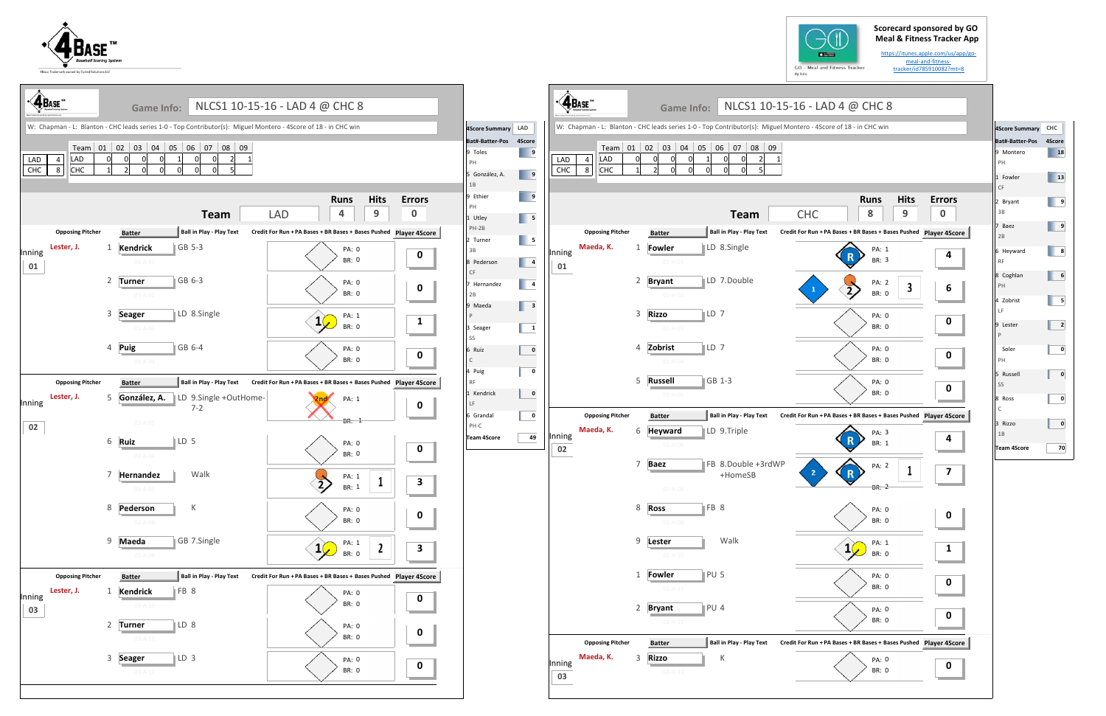## **Scorecard sponsored by GO Meal & Fitness Tracker App**

https://itunes.apple.com/us/app/go‐ meal‐and‐fitness‐ tracker/id785910082?mt=8

| utor(s): Miguel Montero - 4Score of 18 - in CHC win<br>08<br>09<br>$\mathbf 0$<br>2<br>1<br>5<br><b>Hits</b><br><b>Runs</b><br><b>Errors</b><br>8<br>9<br>0<br><b>CHC</b><br>Credit For Run + PA Bases + BR Bases + Bases Pushed Player 4Score<br>PA: 1<br>4<br><b>BR: 3</b><br>PA: 2<br>3<br>6<br>$\mathbf{1}$<br><b>BR: 0</b><br>PA: 0<br>0<br><b>BR: 0</b><br>PA: 0<br>0<br><b>BR: 0</b><br>PA: 0<br>0<br><b>BR: 0</b><br>Credit For Run + PA Bases + BR Bases + Bases Pushed Player 4Score<br>PA: 3<br>4<br><b>BR: 1</b><br>PA: 2<br>1<br>7<br>2<br>R<br>BR: 2<br>PA: 0<br>O<br><b>BR: 0</b><br>PA: 1<br>1<br><b>BR: 0</b><br>PA: 0<br>O<br><b>BR: 0</b><br>PA: 0<br>0<br><b>BR: 0</b><br>Credit For Run + PA Bases + BR Bases + Bases Pushed Player 4Score<br>- Play Text<br>PA: 0<br>0<br><b>BR: 0</b> |                     | CS1 10-15-16 - LAD 4 @ CHC 8 |  |  |
|--------------------------------------------------------------------------------------------------------------------------------------------------------------------------------------------------------------------------------------------------------------------------------------------------------------------------------------------------------------------------------------------------------------------------------------------------------------------------------------------------------------------------------------------------------------------------------------------------------------------------------------------------------------------------------------------------------------------------------------------------------------------------------------------------------------|---------------------|------------------------------|--|--|
|                                                                                                                                                                                                                                                                                                                                                                                                                                                                                                                                                                                                                                                                                                                                                                                                              | 7<br>$\mathbf 0$    |                              |  |  |
|                                                                                                                                                                                                                                                                                                                                                                                                                                                                                                                                                                                                                                                                                                                                                                                                              | eam                 |                              |  |  |
|                                                                                                                                                                                                                                                                                                                                                                                                                                                                                                                                                                                                                                                                                                                                                                                                              | - Play Text         |                              |  |  |
|                                                                                                                                                                                                                                                                                                                                                                                                                                                                                                                                                                                                                                                                                                                                                                                                              | gle                 |                              |  |  |
|                                                                                                                                                                                                                                                                                                                                                                                                                                                                                                                                                                                                                                                                                                                                                                                                              | uble                |                              |  |  |
|                                                                                                                                                                                                                                                                                                                                                                                                                                                                                                                                                                                                                                                                                                                                                                                                              |                     |                              |  |  |
|                                                                                                                                                                                                                                                                                                                                                                                                                                                                                                                                                                                                                                                                                                                                                                                                              |                     |                              |  |  |
|                                                                                                                                                                                                                                                                                                                                                                                                                                                                                                                                                                                                                                                                                                                                                                                                              |                     |                              |  |  |
|                                                                                                                                                                                                                                                                                                                                                                                                                                                                                                                                                                                                                                                                                                                                                                                                              | - Play Text         |                              |  |  |
|                                                                                                                                                                                                                                                                                                                                                                                                                                                                                                                                                                                                                                                                                                                                                                                                              | ble                 |                              |  |  |
|                                                                                                                                                                                                                                                                                                                                                                                                                                                                                                                                                                                                                                                                                                                                                                                                              | uble +3rdWP<br>neSB |                              |  |  |
|                                                                                                                                                                                                                                                                                                                                                                                                                                                                                                                                                                                                                                                                                                                                                                                                              |                     |                              |  |  |
|                                                                                                                                                                                                                                                                                                                                                                                                                                                                                                                                                                                                                                                                                                                                                                                                              |                     |                              |  |  |
|                                                                                                                                                                                                                                                                                                                                                                                                                                                                                                                                                                                                                                                                                                                                                                                                              |                     |                              |  |  |
|                                                                                                                                                                                                                                                                                                                                                                                                                                                                                                                                                                                                                                                                                                                                                                                                              |                     |                              |  |  |
|                                                                                                                                                                                                                                                                                                                                                                                                                                                                                                                                                                                                                                                                                                                                                                                                              |                     |                              |  |  |
|                                                                                                                                                                                                                                                                                                                                                                                                                                                                                                                                                                                                                                                                                                                                                                                                              |                     |                              |  |  |









| 4Score Summary CHC     |        |
|------------------------|--------|
| Bat#-Batter-Pos        | 4Score |
| 9 Montero<br>PH        | 18     |
| 1 Fowler<br>CF         | 13     |
| 2 Bryant<br>3B         | 9      |
| 7 Baez<br>2B           | 9      |
| 6 Heyward<br><b>RF</b> | 8      |
| 8 Coghlan<br>PH        | 6      |
| 4 Zobrist<br>LF        | 5      |
| 9 Lester<br>P          | 2      |
| Soler<br>PH            | 0      |
| 5 Russell<br>SS        | 0      |
| 8 Ross<br>$\mathsf{C}$ | 0      |
| 3 Rizzo<br>1B          | 0      |
| Team 4Score            | 70     |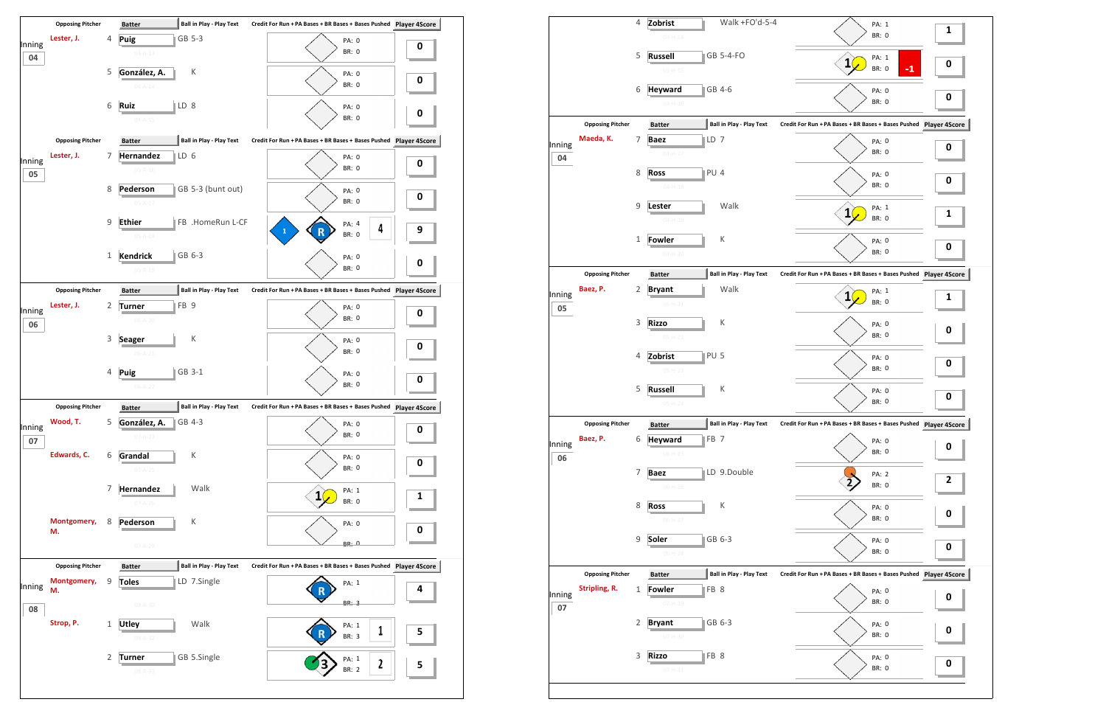

|              |                         | 4            | Zobrist                         | Walk +FO'd-5-4                  | PA: 1                                                         | $\mathbf{1}$ |
|--------------|-------------------------|--------------|---------------------------------|---------------------------------|---------------------------------------------------------------|--------------|
|              |                         |              | $03 - H - 14$                   |                                 | <b>BR: 0</b>                                                  |              |
|              |                         | 5            | <b>Russell</b><br>$03 - H - 15$ | GB 5-4-FO                       | PA: 1<br>$\mathbf{1}$<br>$-1$<br><b>BR: 0</b>                 | 0            |
|              |                         | 6            | <b>Heyward</b><br>$03 - H - 16$ | GB 4-6                          | PA: 0<br><b>BR: 0</b>                                         | 0            |
|              | <b>Opposing Pitcher</b> |              | <b>Batter</b>                   | <b>Ball in Play - Play Text</b> | Credit For Run + PA Bases + BR Bases + Bases Pushed Player 4S |              |
|              | Maeda, K.               | 7            | $\mathsf{LD}$ 7<br><b>Baez</b>  |                                 | PA: 0                                                         |              |
| Inning<br>04 |                         |              | $04 - H - 17$                   |                                 | BR: 0                                                         | 0            |
|              |                         | 8            | <b>Ross</b>                     | PU <sub>4</sub>                 | PA: 0                                                         | 0            |
|              |                         |              | $04 - H - 18$                   |                                 | BR: 0                                                         |              |
|              |                         | 9            | Lester<br>$04 - H - 19$         | Walk                            | PA: 1<br>1<br><b>BR: 0</b>                                    | 1            |
|              |                         | $\mathbf{1}$ | <b>Fowler</b>                   | К                               | PA: 0                                                         |              |
|              |                         |              | $04-H-20$                       |                                 | BR: 0                                                         | 0            |
|              | <b>Opposing Pitcher</b> |              | <b>Batter</b>                   | <b>Ball in Play - Play Text</b> | Credit For Run + PA Bases + BR Bases + Bases Pushed Player 4S |              |
| Inning<br>05 | Baez, P.                | 2            | <b>Bryant</b><br>$05 - H - 21$  | Walk                            | PA: 1<br>ı<br><b>BR: 0</b>                                    | 1            |
|              |                         | 3            | <b>Rizzo</b><br>$05-H-22$       | К                               | PA: 0<br>BR: 0                                                | 0            |
|              |                         | 4            | Zobrist<br>$05-H-23$            | PU <sub>5</sub>                 | PA: 0<br>BR: 0                                                | 0            |
|              |                         | 5            | <b>Russell</b><br>$05-H-24$     | К                               | PA: 0<br>BR: 0                                                | 0            |
|              | <b>Opposing Pitcher</b> |              | <b>Batter</b>                   | <b>Ball in Play - Play Text</b> | Credit For Run + PA Bases + BR Bases + Bases Pushed Player 49 |              |
| Inning<br>06 | Baez, P.                | 6            | Heyward<br>$06-H-25$            | FB <sub>7</sub>                 | PA: 0<br>BR: 0                                                | 0            |
|              |                         | 7            | <b>Baez</b><br>$06-H-26$        | LD 9.Double                     | PA: 2<br><b>BR: 0</b>                                         | 2            |
|              |                         | 8            | <b>Ross</b><br>$06-H-27$        | К                               | PA: 0<br>BR: 0                                                | 0            |
|              |                         | 9            | Soler<br>$06-H-28$              | GB 6-3                          | PA: 0<br>BR: 0                                                | 0            |
|              | <b>Opposing Pitcher</b> |              | <b>Batter</b>                   | <b>Ball in Play - Play Text</b> | Credit For Run + PA Bases + BR Bases + Bases Pushed Player 4S |              |
| Inning       | Stripling, R.           | $\mathbf{1}$ | Fowler<br>$07 - H - 29$         | FB 8                            | PA: 0<br>BR: 0                                                | 0            |
| 07           |                         | 2            | <b>Bryant</b>                   | GB 6-3                          | PA: 0<br><b>BR: 0</b>                                         | 0            |
|              |                         | 3            | $07 - H - 30$<br><b>Rizzo</b>   | FB 8                            | PA: 0                                                         |              |
|              |                         |              | $07 - H - 31$                   |                                 | <b>BR: 0</b>                                                  | 0            |